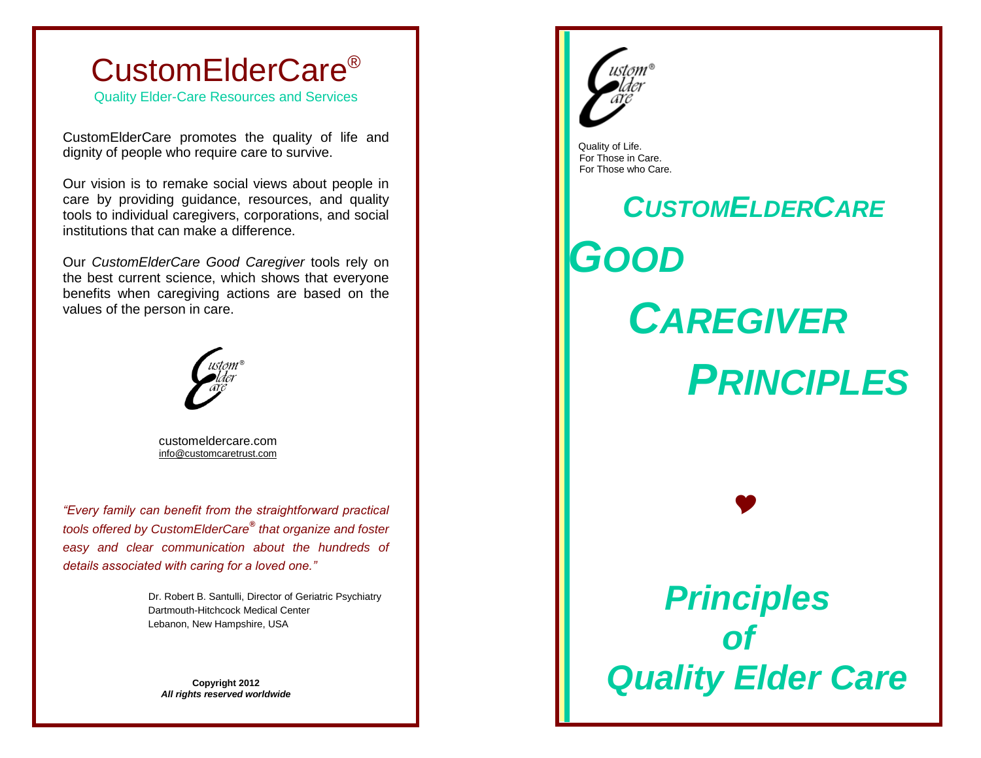

Quality Elder-Care Resources and Services

CustomElderCare promotes the quality of life and dignity of people who require care to survive.

Our vision is to remake social views about people in care by providing guidance, resources, and quality tools to individual caregivers, corporations, and social institutions that can make a difference.

Our *CustomElderCare Good Caregiver* tools rely on the best current science, which shows that everyone benefits when caregiving actions are based on the values of the person in care.



 customeldercare.com [info@customcaretrust.com](mailto:info@customcaretrust.com)

*"Every family can benefit from the straightforward practical tools offered by CustomElderCare® that organize and foster easy and clear communication about the hundreds of details associated with caring for a loved one."*

> Dr. Robert B. Santulli, Director of Geriatric Psychiatry Dartmouth-Hitchcock Medical Center Lebanon, New Hampshire, USA

**Copyright 2012**  *All rights reserved worldwide*



 Quality of Life. For Those in Care. For Those who Care.

I

I

Ļ

# *CUSTOMELDERCARE GOOD CAREGIVER PRINCIPLES Principles of*

 *Quality Elder Care*